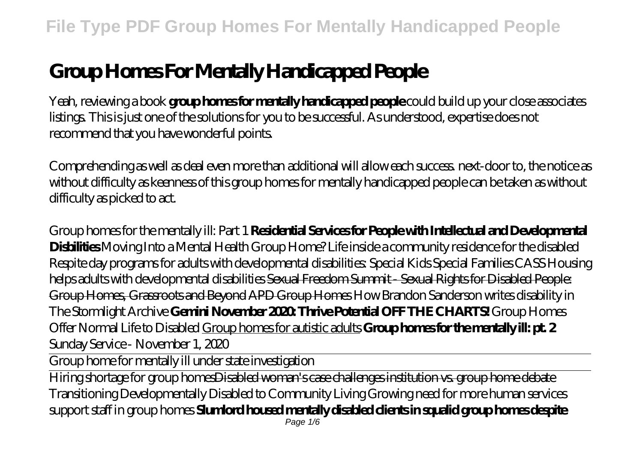# **Group Homes For Mentally Handicapped People**

Yeah, reviewing a book **group homes for mentally handicapped people** could build up your close associates listings. This is just one of the solutions for you to be successful. As understood, expertise does not recommend that you have wonderful points.

Comprehending as well as deal even more than additional will allow each success. next-door to, the notice as without difficulty as keenness of this group homes for mentally handicapped people can be taken as without difficulty as picked to act.

*Group homes for the mentally ill: Part 1* **Residential Services for People with Intellectual and Developmental Disbilities** *Moving Into a Mental Health Group Home? Life inside a community residence for the disabled Respite day programs for adults with developmental disabilities: Special Kids Special Families CASS Housing helps adults with developmental disabilities* Sexual Freedom Summit - Sexual Rights for Disabled People: Group Homes, Grassroots and Beyond APD Group Homes *How Brandon Sanderson writes disability in The Stormlight Archive* **Gemini November 2020: Thrive Potential OFF THE CHARTS!** Group Homes Offer Normal Life to Disabled Group homes for autistic adults **Group homes for the mentally ill: pt. 2** *Sunday Service - November 1, 2020*

Group home for mentally ill under state investigation

Hiring shortage for group homesDisabled woman's case challenges institution vs. group home debate Transitioning Developmentally Disabled to Community Living Growing need for more human services support staff in group homes **Slumlord housed mentally disabled clients in squalid group homes despite**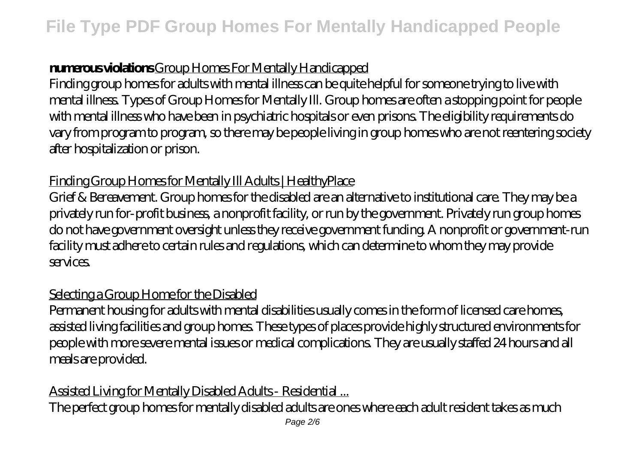### **numerous violations** Group Homes For Mentally Handicapped

Finding group homes for adults with mental illness can be quite helpful for someone trying to live with mental illness. Types of Group Homes for Mentally Ill. Group homes are often a stopping point for people with mental illness who have been in psychiatric hospitals or even prisons. The eligibility requirements do vary from program to program, so there may be people living in group homes who are not reentering society after hospitalization or prison.

#### Finding Group Homes for Mentally Ill Adults | HealthyPlace

Grief & Bereavement. Group homes for the disabled are an alternative to institutional care. They may be a privately run for-profit business, a nonprofit facility, or run by the government. Privately run group homes do not have government oversight unless they receive government funding. A nonprofit or government-run facility must adhere to certain rules and regulations, which can determine to whom they may provide services.

### Selecting a Group Home for the Disabled

Permanent housing for adults with mental disabilities usually comes in the form of licensed care homes, assisted living facilities and group homes. These types of places provide highly structured environments for people with more severe mental issues or medical complications. They are usually staffed 24 hours and all meals are provided.

# Assisted Living for Mentally Disabled Adults - Residential ...

The perfect group homes for mentally disabled adults are ones where each adult resident takes as much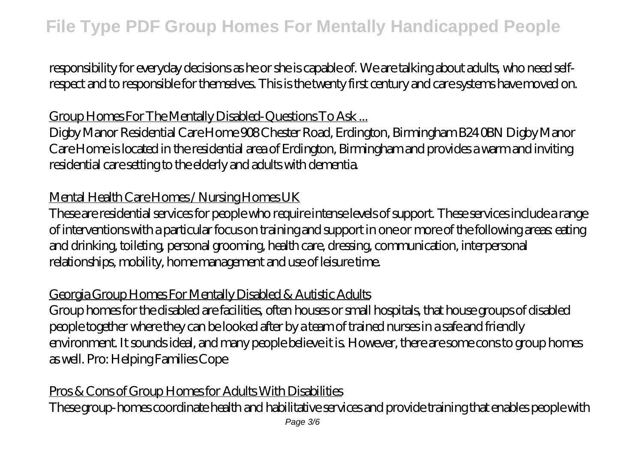responsibility for everyday decisions as he or she is capable of. We are talking about adults, who need selfrespect and to responsible for themselves. This is the twenty first century and care systems have moved on.

# Group Homes For The Mentally Disabled-Questions To Ask ...

Digby Manor Residential Care Home 908 Chester Road, Erdington, Birmingham B24 0BN Digby Manor Care Home is located in the residential area of Erdington, Birmingham and provides a warm and inviting residential care setting to the elderly and adults with dementia.

# Mental Health Care Homes / Nursing Homes UK

These are residential services for people who require intense levels of support. These services include a range of interventions with a particular focus on training and support in one or more of the following areas: eating and drinking, toileting, personal grooming, health care, dressing, communication, interpersonal relationships, mobility, home management and use of leisure time.

#### Georgia Group Homes For Mentally Disabled & Autistic Adults

Group homes for the disabled are facilities, often houses or small hospitals, that house groups of disabled people together where they can be looked after by a team of trained nurses in a safe and friendly environment. It sounds ideal, and many people believe it is. However, there are some cons to group homes as well. Pro: Helping Families Cope

### Pros & Cons of Group Homes for Adults With Disabilities

These group-homes coordinate health and habilitative services and provide training that enables people with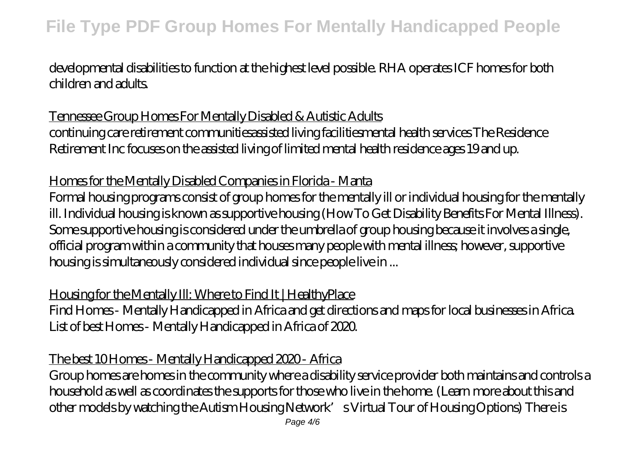# **File Type PDF Group Homes For Mentally Handicapped People**

developmental disabilities to function at the highest level possible. RHA operates ICF homes for both children and adults.

#### Tennessee Group Homes For Mentally Disabled & Autistic Adults

continuing care retirement communitiesassisted living facilitiesmental health services The Residence Retirement Inc focuses on the assisted living of limited mental health residence ages 19 and up.

#### Homes for the Mentally Disabled Companies in Florida - Manta

Formal housing programs consist of group homes for the mentally ill or individual housing for the mentally ill. Individual housing is known as supportive housing (How To Get Disability Benefits For Mental Illness). Some supportive housing is considered under the umbrella of group housing because it involves a single, official program within a community that houses many people with mental illness; however, supportive housing is simultaneously considered individual since people live in ...

#### Housing for the Mentally Ill: Where to Find It | HealthyPlace

Find Homes - Mentally Handicapped in Africa and get directions and maps for local businesses in Africa. List of best Homes - Mentally Handicapped in Africa of 2020.

### The best 10 Homes - Mentally Handicapped 2020 - Africa

Group homes are homes in the community where a disability service provider both maintains and controls a household as well as coordinates the supports for those who live in the home. (Learn more about this and other models by watching the Autism Housing Network's Virtual Tour of Housing Options) There is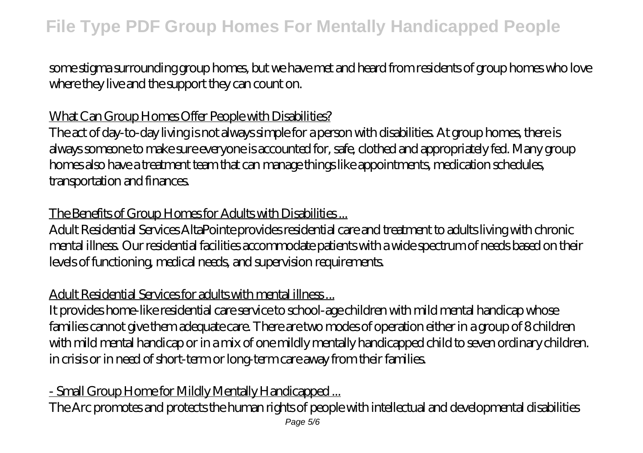some stigma surrounding group homes, but we have met and heard from residents of group homes who love where they live and the support they can count on.

# What Can Group Homes Offer People with Disabilities?

The act of day-to-day living is not always simple for a person with disabilities. At group homes, there is always someone to make sure everyone is accounted for, safe, clothed and appropriately fed. Many group homes also have a treatment team that can manage things like appointments, medication schedules, transportation and finances.

### The Benefits of Group Homes for Adults with Disabilities ...

Adult Residential Services AltaPointe provides residential care and treatment to adults living with chronic mental illness. Our residential facilities accommodate patients with a wide spectrum of needs based on their levels of functioning, medical needs, and supervision requirements.

### Adult Residential Services for adults with mental illness ...

It provides home-like residential care service to school-age children with mild mental handicap whose families cannot give them adequate care. There are two modes of operation either in a group of 8 children with mild mental handicap or in a mix of one mildly mentally handicapped child to seven ordinary children. in crisis or in need of short-term or long-term care away from their families.

# - Small Group Home for Mildly Mentally Handicapped ...

The Arc promotes and protects the human rights of people with intellectual and developmental disabilities